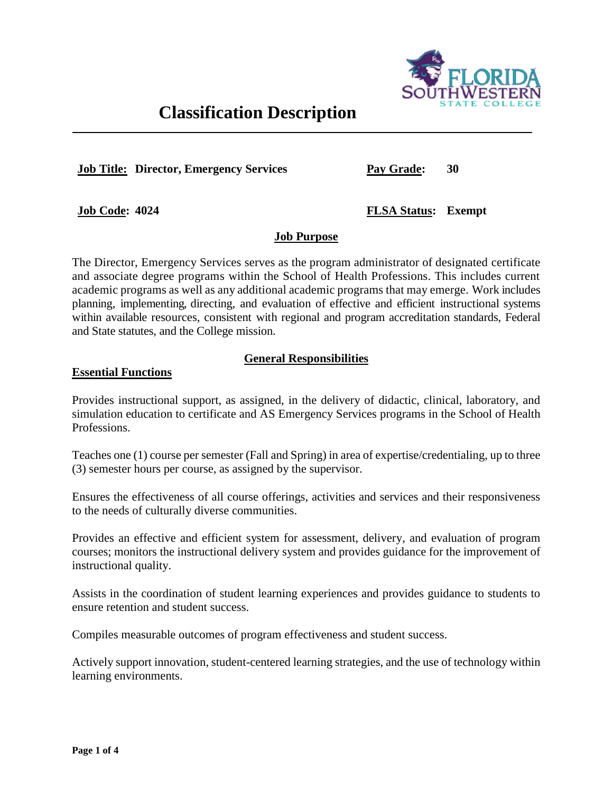

# **Classification Description**

**Job Title: Director, Emergency Services**

**Pay Grade: 30**

**Job Code: 4024**

## **FLSA Status: Exempt**

## **Job Purpose**

The Director, Emergency Services serves as the program administrator of designated certificate and associate degree programs within the School of Health Professions. This includes current academic programs as well as any additional academic programs that may emerge. Work includes planning, implementing, directing, and evaluation of effective and efficient instructional systems within available resources, consistent with regional and program accreditation standards, Federal and State statutes, and the College mission.

# **General Responsibilities**

#### **Essential Functions**

Provides instructional support, as assigned, in the delivery of didactic, clinical, laboratory, and simulation education to certificate and AS Emergency Services programs in the School of Health Professions.

Teaches one (1) course per semester (Fall and Spring) in area of expertise/credentialing, up to three (3) semester hours per course, as assigned by the supervisor.

Ensures the effectiveness of all course offerings, activities and services and their responsiveness to the needs of culturally diverse communities.

Provides an effective and efficient system for assessment, delivery, and evaluation of program courses; monitors the instructional delivery system and provides guidance for the improvement of instructional quality.

Assists in the coordination of student learning experiences and provides guidance to students to ensure retention and student success.

Compiles measurable outcomes of program effectiveness and student success.

Actively support innovation, student-centered learning strategies, and the use of technology within learning environments.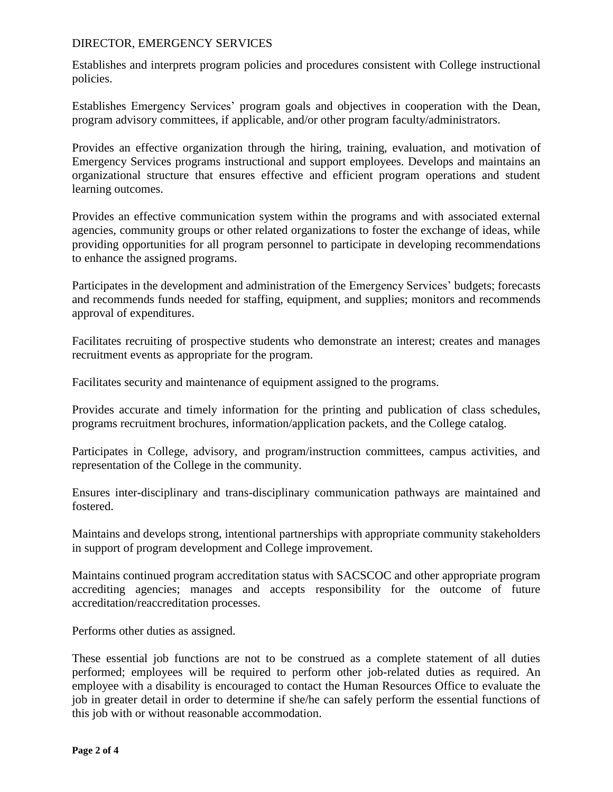#### DIRECTOR, EMERGENCY SERVICES

Establishes and interprets program policies and procedures consistent with College instructional policies.

Establishes Emergency Services' program goals and objectives in cooperation with the Dean, program advisory committees, if applicable, and/or other program faculty/administrators.

Provides an effective organization through the hiring, training, evaluation, and motivation of Emergency Services programs instructional and support employees. Develops and maintains an organizational structure that ensures effective and efficient program operations and student learning outcomes.

Provides an effective communication system within the programs and with associated external agencies, community groups or other related organizations to foster the exchange of ideas, while providing opportunities for all program personnel to participate in developing recommendations to enhance the assigned programs.

Participates in the development and administration of the Emergency Services' budgets; forecasts and recommends funds needed for staffing, equipment, and supplies; monitors and recommends approval of expenditures.

Facilitates recruiting of prospective students who demonstrate an interest; creates and manages recruitment events as appropriate for the program.

Facilitates security and maintenance of equipment assigned to the programs.

Provides accurate and timely information for the printing and publication of class schedules, programs recruitment brochures, information/application packets, and the College catalog.

Participates in College, advisory, and program/instruction committees, campus activities, and representation of the College in the community.

Ensures inter-disciplinary and trans-disciplinary communication pathways are maintained and fostered.

Maintains and develops strong, intentional partnerships with appropriate community stakeholders in support of program development and College improvement.

Maintains continued program accreditation status with SACSCOC and other appropriate program accrediting agencies; manages and accepts responsibility for the outcome of future accreditation/reaccreditation processes.

Performs other duties as assigned.

These essential job functions are not to be construed as a complete statement of all duties performed; employees will be required to perform other job-related duties as required. An employee with a disability is encouraged to contact the Human Resources Office to evaluate the job in greater detail in order to determine if she/he can safely perform the essential functions of this job with or without reasonable accommodation.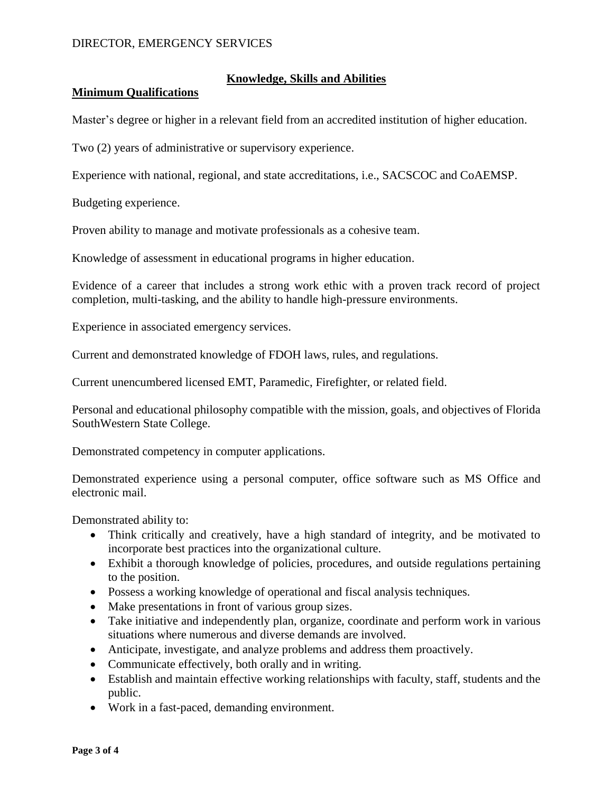#### DIRECTOR, EMERGENCY SERVICES

## **Knowledge, Skills and Abilities**

#### **Minimum Qualifications**

Master's degree or higher in a relevant field from an accredited institution of higher education.

Two (2) years of administrative or supervisory experience.

Experience with national, regional, and state accreditations, i.e., SACSCOC and CoAEMSP.

Budgeting experience.

Proven ability to manage and motivate professionals as a cohesive team.

Knowledge of assessment in educational programs in higher education.

Evidence of a career that includes a strong work ethic with a proven track record of project completion, multi-tasking, and the ability to handle high-pressure environments.

Experience in associated emergency services.

Current and demonstrated knowledge of FDOH laws, rules, and regulations.

Current unencumbered licensed EMT, Paramedic, Firefighter, or related field.

Personal and educational philosophy compatible with the mission, goals, and objectives of Florida SouthWestern State College.

Demonstrated competency in computer applications.

Demonstrated experience using a personal computer, office software such as MS Office and electronic mail.

Demonstrated ability to:

- Think critically and creatively, have a high standard of integrity, and be motivated to incorporate best practices into the organizational culture.
- Exhibit a thorough knowledge of policies, procedures, and outside regulations pertaining to the position.
- Possess a working knowledge of operational and fiscal analysis techniques.
- Make presentations in front of various group sizes.
- Take initiative and independently plan, organize, coordinate and perform work in various situations where numerous and diverse demands are involved.
- Anticipate, investigate, and analyze problems and address them proactively.
- Communicate effectively, both orally and in writing.
- Establish and maintain effective working relationships with faculty, staff, students and the public.
- Work in a fast-paced, demanding environment.